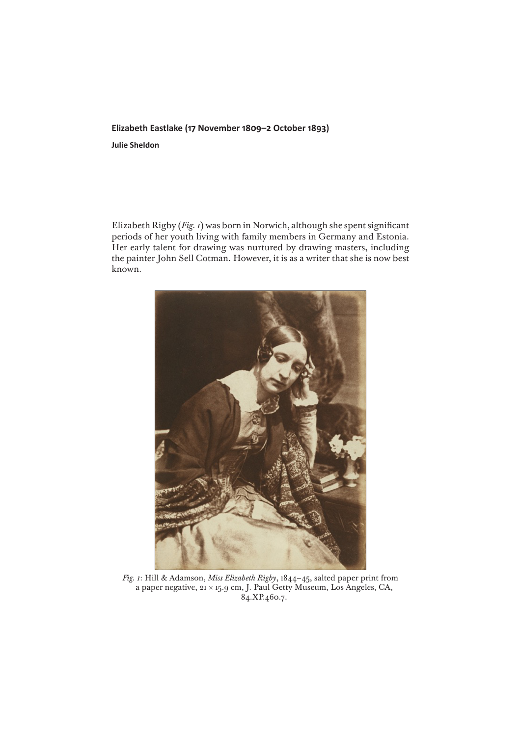## **Elizabeth Eastlake (17 November 1809–2 October 1893)**

**Julie Sheldon**

Elizabeth Rigby (*Fig. 1*) was born in Norwich, although she spent significant periods of her youth living with family members in Germany and Estonia. Her early talent for drawing was nurtured by drawing masters, including the painter John Sell Cotman. However, it is as a writer that she is now best known.



*Fig. 1*: Hill & Adamson, *Miss Elizabeth Rigby*, 1844–45, salted paper print from a paper negative, 21 × 15.9 cm, J. Paul Getty Museum, Los Angeles, CA, 84.XP.460.7.